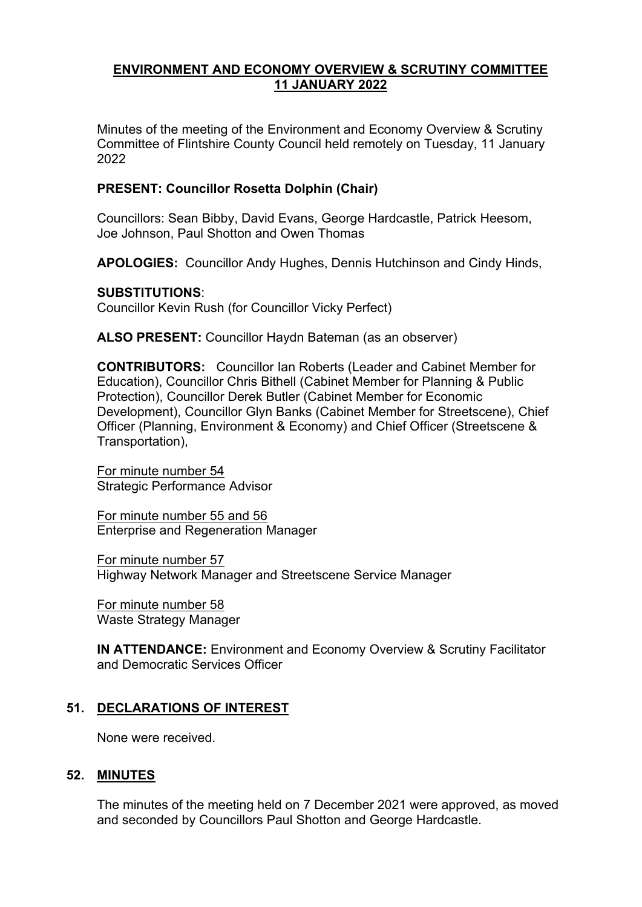## **ENVIRONMENT AND ECONOMY OVERVIEW & SCRUTINY COMMITTEE 11 JANUARY 2022**

Minutes of the meeting of the Environment and Economy Overview & Scrutiny Committee of Flintshire County Council held remotely on Tuesday, 11 January 2022

## **PRESENT: Councillor Rosetta Dolphin (Chair)**

Councillors: Sean Bibby, David Evans, George Hardcastle, Patrick Heesom, Joe Johnson, Paul Shotton and Owen Thomas

**APOLOGIES:** Councillor Andy Hughes, Dennis Hutchinson and Cindy Hinds,

# **SUBSTITUTIONS**:

Councillor Kevin Rush (for Councillor Vicky Perfect)

**ALSO PRESENT:** Councillor Haydn Bateman (as an observer)

**CONTRIBUTORS:** Councillor Ian Roberts (Leader and Cabinet Member for Education), Councillor Chris Bithell (Cabinet Member for Planning & Public Protection), Councillor Derek Butler (Cabinet Member for Economic Development), Councillor Glyn Banks (Cabinet Member for Streetscene), Chief Officer (Planning, Environment & Economy) and Chief Officer (Streetscene & Transportation),

For minute number 54 Strategic Performance Advisor

For minute number 55 and 56 Enterprise and Regeneration Manager

For minute number 57 Highway Network Manager and Streetscene Service Manager

For minute number 58 Waste Strategy Manager

**IN ATTENDANCE:** Environment and Economy Overview & Scrutiny Facilitator and Democratic Services Officer

# **51. DECLARATIONS OF INTEREST**

None were received.

## **52. MINUTES**

The minutes of the meeting held on 7 December 2021 were approved, as moved and seconded by Councillors Paul Shotton and George Hardcastle.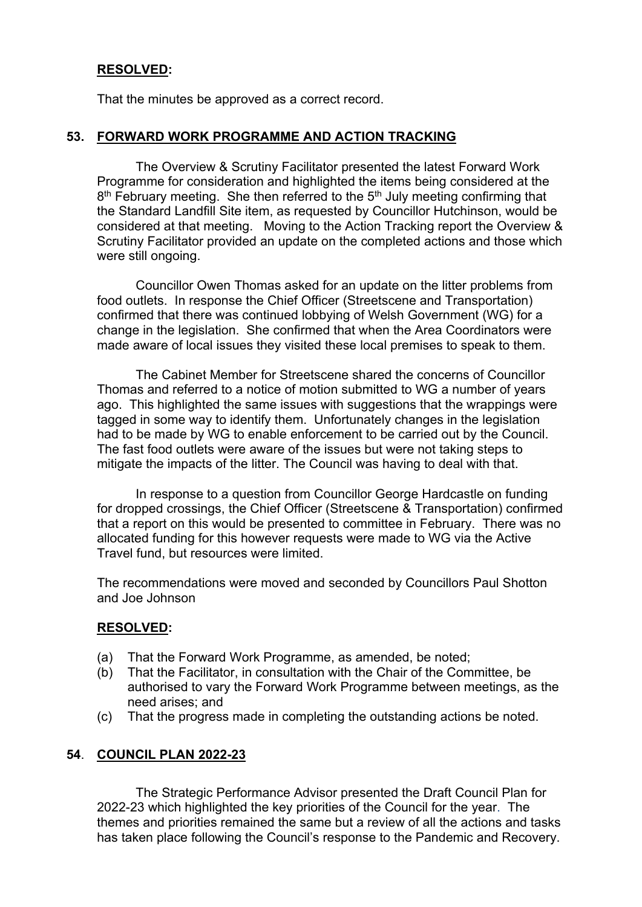# **RESOLVED:**

That the minutes be approved as a correct record.

## **53. FORWARD WORK PROGRAMME AND ACTION TRACKING**

The Overview & Scrutiny Facilitator presented the latest Forward Work Programme for consideration and highlighted the items being considered at the 8<sup>th</sup> February meeting. She then referred to the 5<sup>th</sup> July meeting confirming that the Standard Landfill Site item, as requested by Councillor Hutchinson, would be considered at that meeting. Moving to the Action Tracking report the Overview & Scrutiny Facilitator provided an update on the completed actions and those which were still ongoing.

Councillor Owen Thomas asked for an update on the litter problems from food outlets. In response the Chief Officer (Streetscene and Transportation) confirmed that there was continued lobbying of Welsh Government (WG) for a change in the legislation. She confirmed that when the Area Coordinators were made aware of local issues they visited these local premises to speak to them.

The Cabinet Member for Streetscene shared the concerns of Councillor Thomas and referred to a notice of motion submitted to WG a number of years ago. This highlighted the same issues with suggestions that the wrappings were tagged in some way to identify them. Unfortunately changes in the legislation had to be made by WG to enable enforcement to be carried out by the Council. The fast food outlets were aware of the issues but were not taking steps to mitigate the impacts of the litter. The Council was having to deal with that.

In response to a question from Councillor George Hardcastle on funding for dropped crossings, the Chief Officer (Streetscene & Transportation) confirmed that a report on this would be presented to committee in February. There was no allocated funding for this however requests were made to WG via the Active Travel fund, but resources were limited.

The recommendations were moved and seconded by Councillors Paul Shotton and Joe Johnson

## **RESOLVED:**

- (a) That the Forward Work Programme, as amended, be noted;
- (b) That the Facilitator, in consultation with the Chair of the Committee, be authorised to vary the Forward Work Programme between meetings, as the need arises; and
- (c) That the progress made in completing the outstanding actions be noted.

## **54**. **COUNCIL PLAN 2022-23**

The Strategic Performance Advisor presented the Draft Council Plan for 2022-23 which highlighted the key priorities of the Council for the year. The themes and priorities remained the same but a review of all the actions and tasks has taken place following the Council's response to the Pandemic and Recovery.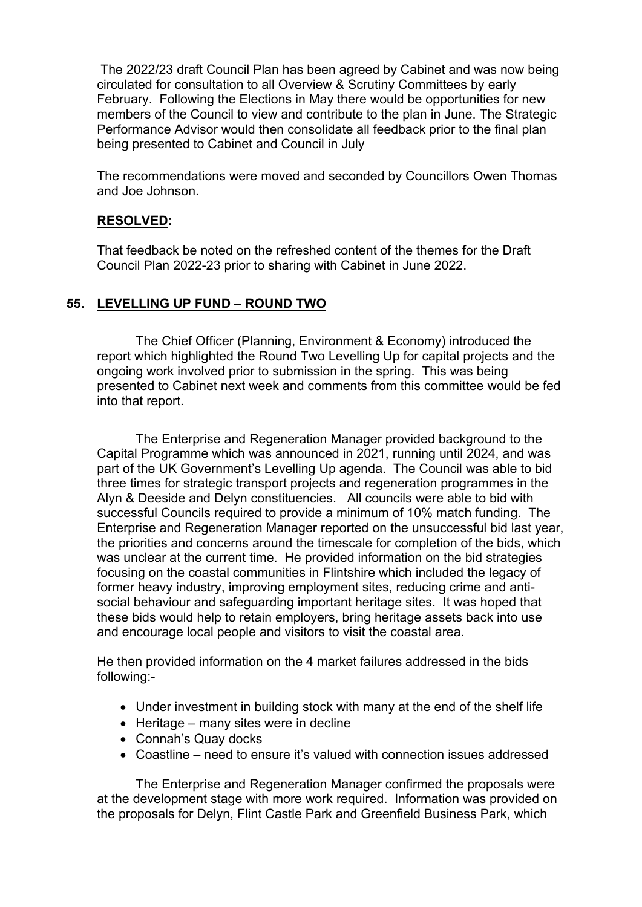The 2022/23 draft Council Plan has been agreed by Cabinet and was now being circulated for consultation to all Overview & Scrutiny Committees by early February. Following the Elections in May there would be opportunities for new members of the Council to view and contribute to the plan in June. The Strategic Performance Advisor would then consolidate all feedback prior to the final plan being presented to Cabinet and Council in July

The recommendations were moved and seconded by Councillors Owen Thomas and Joe Johnson.

### **RESOLVED:**

That feedback be noted on the refreshed content of the themes for the Draft Council Plan 2022-23 prior to sharing with Cabinet in June 2022.

#### **55. LEVELLING UP FUND – ROUND TWO**

The Chief Officer (Planning, Environment & Economy) introduced the report which highlighted the Round Two Levelling Up for capital projects and the ongoing work involved prior to submission in the spring. This was being presented to Cabinet next week and comments from this committee would be fed into that report.

The Enterprise and Regeneration Manager provided background to the Capital Programme which was announced in 2021, running until 2024, and was part of the UK Government's Levelling Up agenda. The Council was able to bid three times for strategic transport projects and regeneration programmes in the Alyn & Deeside and Delyn constituencies. All councils were able to bid with successful Councils required to provide a minimum of 10% match funding. The Enterprise and Regeneration Manager reported on the unsuccessful bid last year, the priorities and concerns around the timescale for completion of the bids, which was unclear at the current time. He provided information on the bid strategies focusing on the coastal communities in Flintshire which included the legacy of former heavy industry, improving employment sites, reducing crime and antisocial behaviour and safeguarding important heritage sites. It was hoped that these bids would help to retain employers, bring heritage assets back into use and encourage local people and visitors to visit the coastal area.

He then provided information on the 4 market failures addressed in the bids following:-

- Under investment in building stock with many at the end of the shelf life
- $\bullet$  Heritage many sites were in decline
- Connah's Quay docks
- Coastline need to ensure it's valued with connection issues addressed

The Enterprise and Regeneration Manager confirmed the proposals were at the development stage with more work required. Information was provided on the proposals for Delyn, Flint Castle Park and Greenfield Business Park, which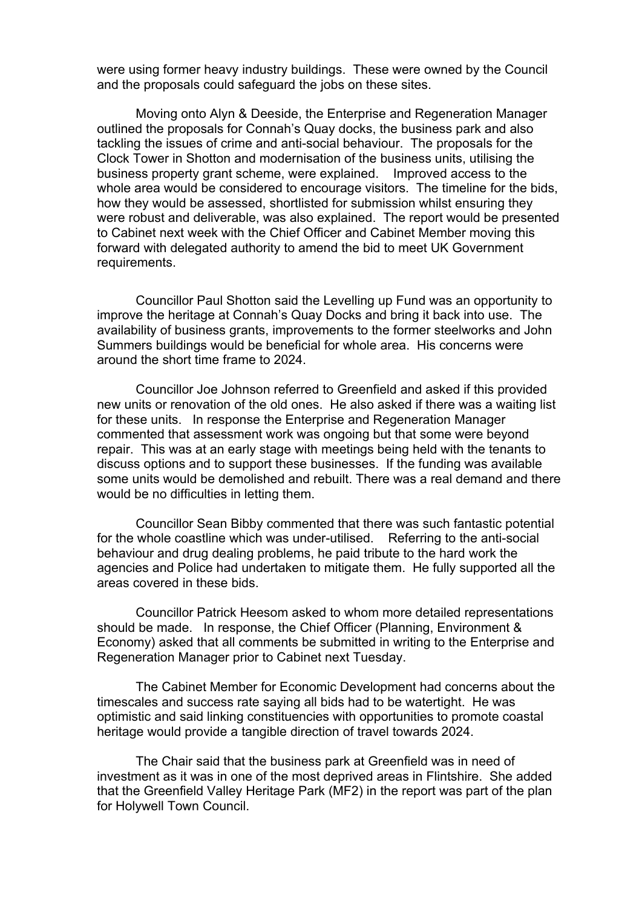were using former heavy industry buildings. These were owned by the Council and the proposals could safeguard the jobs on these sites.

Moving onto Alyn & Deeside, the Enterprise and Regeneration Manager outlined the proposals for Connah's Quay docks, the business park and also tackling the issues of crime and anti-social behaviour. The proposals for the Clock Tower in Shotton and modernisation of the business units, utilising the business property grant scheme, were explained. Improved access to the whole area would be considered to encourage visitors. The timeline for the bids, how they would be assessed, shortlisted for submission whilst ensuring they were robust and deliverable, was also explained. The report would be presented to Cabinet next week with the Chief Officer and Cabinet Member moving this forward with delegated authority to amend the bid to meet UK Government requirements.

Councillor Paul Shotton said the Levelling up Fund was an opportunity to improve the heritage at Connah's Quay Docks and bring it back into use. The availability of business grants, improvements to the former steelworks and John Summers buildings would be beneficial for whole area. His concerns were around the short time frame to 2024.

Councillor Joe Johnson referred to Greenfield and asked if this provided new units or renovation of the old ones. He also asked if there was a waiting list for these units. In response the Enterprise and Regeneration Manager commented that assessment work was ongoing but that some were beyond repair. This was at an early stage with meetings being held with the tenants to discuss options and to support these businesses. If the funding was available some units would be demolished and rebuilt. There was a real demand and there would be no difficulties in letting them.

Councillor Sean Bibby commented that there was such fantastic potential for the whole coastline which was under-utilised. Referring to the anti-social behaviour and drug dealing problems, he paid tribute to the hard work the agencies and Police had undertaken to mitigate them. He fully supported all the areas covered in these bids.

Councillor Patrick Heesom asked to whom more detailed representations should be made. In response, the Chief Officer (Planning, Environment & Economy) asked that all comments be submitted in writing to the Enterprise and Regeneration Manager prior to Cabinet next Tuesday.

The Cabinet Member for Economic Development had concerns about the timescales and success rate saying all bids had to be watertight. He was optimistic and said linking constituencies with opportunities to promote coastal heritage would provide a tangible direction of travel towards 2024.

The Chair said that the business park at Greenfield was in need of investment as it was in one of the most deprived areas in Flintshire. She added that the Greenfield Valley Heritage Park (MF2) in the report was part of the plan for Holywell Town Council.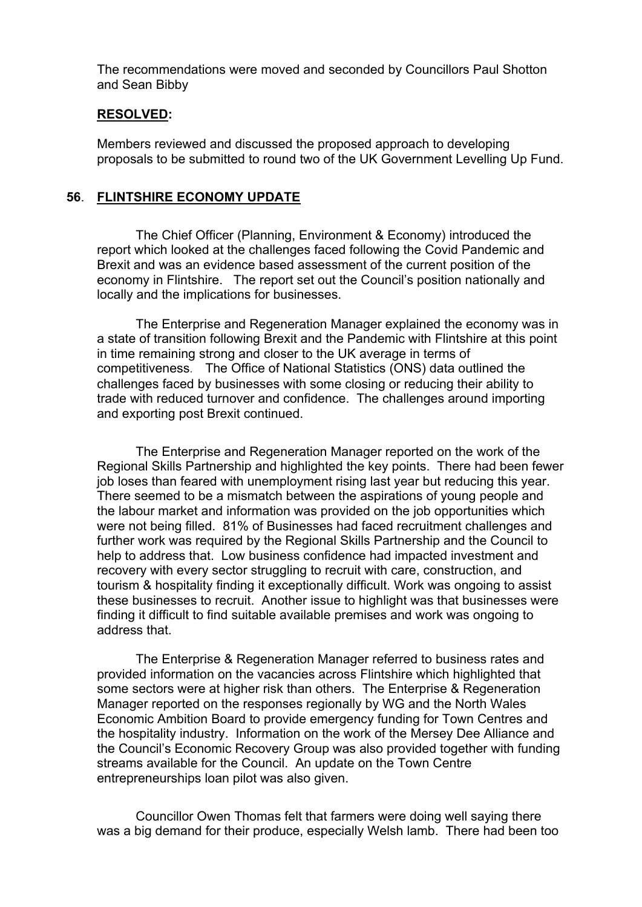The recommendations were moved and seconded by Councillors Paul Shotton and Sean Bibby

#### **RESOLVED:**

Members reviewed and discussed the proposed approach to developing proposals to be submitted to round two of the UK Government Levelling Up Fund.

#### **56**. **FLINTSHIRE ECONOMY UPDATE**

The Chief Officer (Planning, Environment & Economy) introduced the report which looked at the challenges faced following the Covid Pandemic and Brexit and was an evidence based assessment of the current position of the economy in Flintshire. The report set out the Council's position nationally and locally and the implications for businesses.

The Enterprise and Regeneration Manager explained the economy was in a state of transition following Brexit and the Pandemic with Flintshire at this point in time remaining strong and closer to the UK average in terms of competitiveness. The Office of National Statistics (ONS) data outlined the challenges faced by businesses with some closing or reducing their ability to trade with reduced turnover and confidence. The challenges around importing and exporting post Brexit continued.

The Enterprise and Regeneration Manager reported on the work of the Regional Skills Partnership and highlighted the key points. There had been fewer job loses than feared with unemployment rising last year but reducing this year. There seemed to be a mismatch between the aspirations of young people and the labour market and information was provided on the job opportunities which were not being filled. 81% of Businesses had faced recruitment challenges and further work was required by the Regional Skills Partnership and the Council to help to address that. Low business confidence had impacted investment and recovery with every sector struggling to recruit with care, construction, and tourism & hospitality finding it exceptionally difficult. Work was ongoing to assist these businesses to recruit. Another issue to highlight was that businesses were finding it difficult to find suitable available premises and work was ongoing to address that.

The Enterprise & Regeneration Manager referred to business rates and provided information on the vacancies across Flintshire which highlighted that some sectors were at higher risk than others. The Enterprise & Regeneration Manager reported on the responses regionally by WG and the North Wales Economic Ambition Board to provide emergency funding for Town Centres and the hospitality industry. Information on the work of the Mersey Dee Alliance and the Council's Economic Recovery Group was also provided together with funding streams available for the Council. An update on the Town Centre entrepreneurships loan pilot was also given.

Councillor Owen Thomas felt that farmers were doing well saying there was a big demand for their produce, especially Welsh lamb. There had been too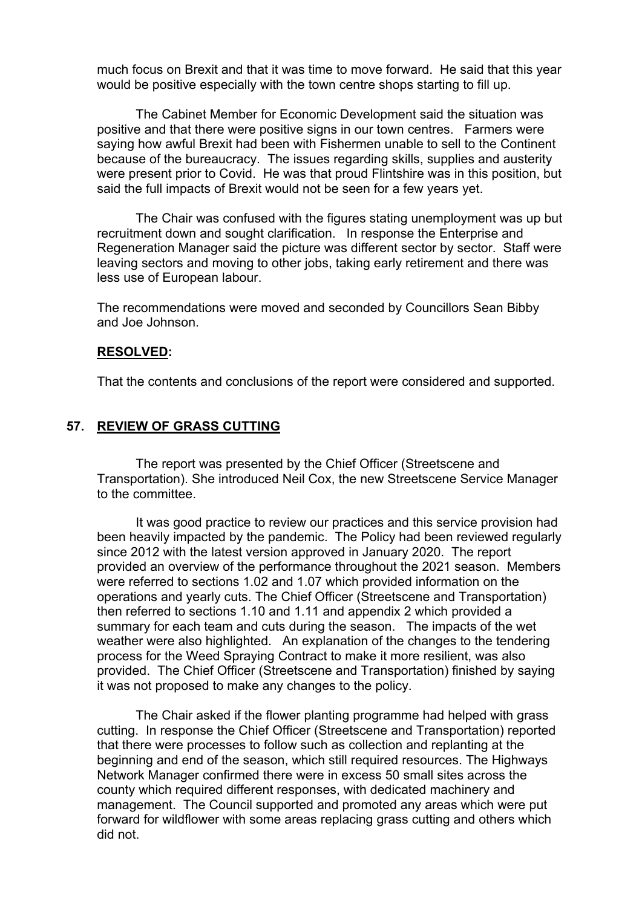much focus on Brexit and that it was time to move forward. He said that this year would be positive especially with the town centre shops starting to fill up.

The Cabinet Member for Economic Development said the situation was positive and that there were positive signs in our town centres. Farmers were saying how awful Brexit had been with Fishermen unable to sell to the Continent because of the bureaucracy. The issues regarding skills, supplies and austerity were present prior to Covid. He was that proud Flintshire was in this position, but said the full impacts of Brexit would not be seen for a few years yet.

The Chair was confused with the figures stating unemployment was up but recruitment down and sought clarification. In response the Enterprise and Regeneration Manager said the picture was different sector by sector. Staff were leaving sectors and moving to other jobs, taking early retirement and there was less use of European labour.

The recommendations were moved and seconded by Councillors Sean Bibby and Joe Johnson.

#### **RESOLVED:**

That the contents and conclusions of the report were considered and supported.

#### **57. REVIEW OF GRASS CUTTING**

The report was presented by the Chief Officer (Streetscene and Transportation). She introduced Neil Cox, the new Streetscene Service Manager to the committee.

It was good practice to review our practices and this service provision had been heavily impacted by the pandemic. The Policy had been reviewed regularly since 2012 with the latest version approved in January 2020. The report provided an overview of the performance throughout the 2021 season. Members were referred to sections 1.02 and 1.07 which provided information on the operations and yearly cuts. The Chief Officer (Streetscene and Transportation) then referred to sections 1.10 and 1.11 and appendix 2 which provided a summary for each team and cuts during the season. The impacts of the wet weather were also highlighted. An explanation of the changes to the tendering process for the Weed Spraying Contract to make it more resilient, was also provided. The Chief Officer (Streetscene and Transportation) finished by saying it was not proposed to make any changes to the policy.

The Chair asked if the flower planting programme had helped with grass cutting. In response the Chief Officer (Streetscene and Transportation) reported that there were processes to follow such as collection and replanting at the beginning and end of the season, which still required resources. The Highways Network Manager confirmed there were in excess 50 small sites across the county which required different responses, with dedicated machinery and management. The Council supported and promoted any areas which were put forward for wildflower with some areas replacing grass cutting and others which did not.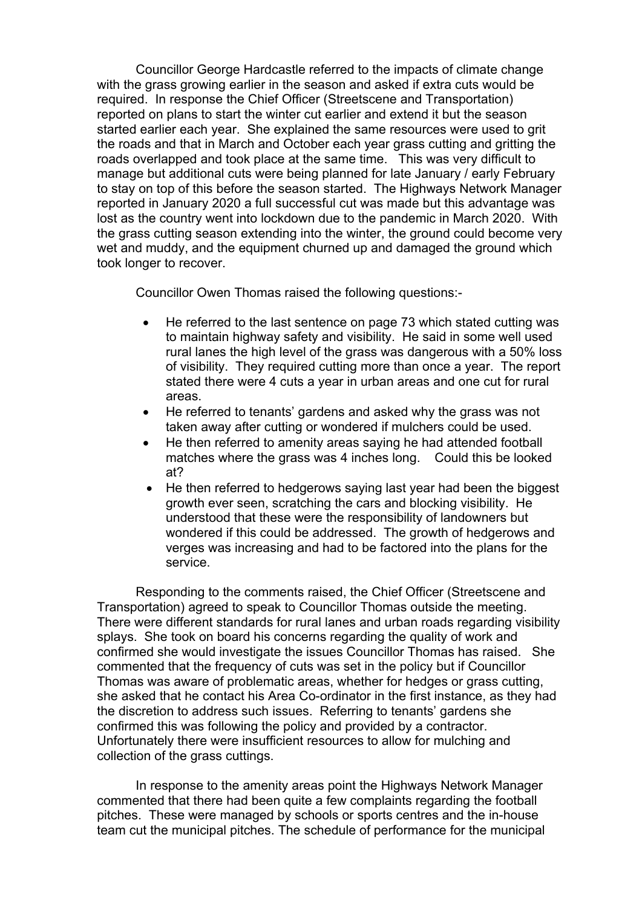Councillor George Hardcastle referred to the impacts of climate change with the grass growing earlier in the season and asked if extra cuts would be required. In response the Chief Officer (Streetscene and Transportation) reported on plans to start the winter cut earlier and extend it but the season started earlier each year. She explained the same resources were used to grit the roads and that in March and October each year grass cutting and gritting the roads overlapped and took place at the same time. This was very difficult to manage but additional cuts were being planned for late January / early February to stay on top of this before the season started. The Highways Network Manager reported in January 2020 a full successful cut was made but this advantage was lost as the country went into lockdown due to the pandemic in March 2020. With the grass cutting season extending into the winter, the ground could become very wet and muddy, and the equipment churned up and damaged the ground which took longer to recover.

Councillor Owen Thomas raised the following questions:-

- He referred to the last sentence on page 73 which stated cutting was to maintain highway safety and visibility. He said in some well used rural lanes the high level of the grass was dangerous with a 50% loss of visibility. They required cutting more than once a year. The report stated there were 4 cuts a year in urban areas and one cut for rural areas.
- He referred to tenants' gardens and asked why the grass was not taken away after cutting or wondered if mulchers could be used.
- He then referred to amenity areas saying he had attended football matches where the grass was 4 inches long. Could this be looked at?
- He then referred to hedgerows saying last year had been the biggest growth ever seen, scratching the cars and blocking visibility. He understood that these were the responsibility of landowners but wondered if this could be addressed. The growth of hedgerows and verges was increasing and had to be factored into the plans for the service.

Responding to the comments raised, the Chief Officer (Streetscene and Transportation) agreed to speak to Councillor Thomas outside the meeting. There were different standards for rural lanes and urban roads regarding visibility splays. She took on board his concerns regarding the quality of work and confirmed she would investigate the issues Councillor Thomas has raised. She commented that the frequency of cuts was set in the policy but if Councillor Thomas was aware of problematic areas, whether for hedges or grass cutting, she asked that he contact his Area Co-ordinator in the first instance, as they had the discretion to address such issues. Referring to tenants' gardens she confirmed this was following the policy and provided by a contractor. Unfortunately there were insufficient resources to allow for mulching and collection of the grass cuttings.

In response to the amenity areas point the Highways Network Manager commented that there had been quite a few complaints regarding the football pitches. These were managed by schools or sports centres and the in-house team cut the municipal pitches. The schedule of performance for the municipal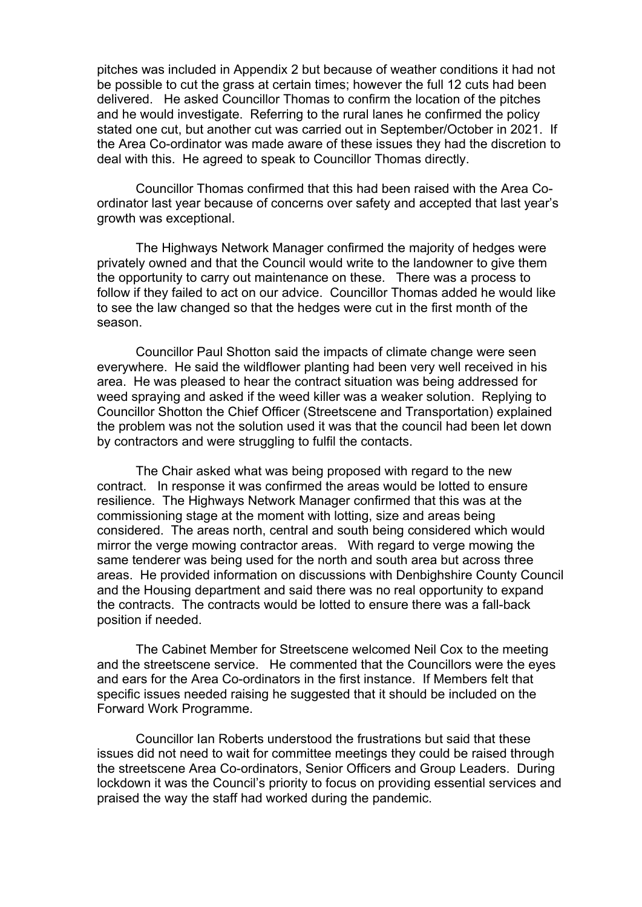pitches was included in Appendix 2 but because of weather conditions it had not be possible to cut the grass at certain times; however the full 12 cuts had been delivered. He asked Councillor Thomas to confirm the location of the pitches and he would investigate. Referring to the rural lanes he confirmed the policy stated one cut, but another cut was carried out in September/October in 2021. If the Area Co-ordinator was made aware of these issues they had the discretion to deal with this. He agreed to speak to Councillor Thomas directly.

Councillor Thomas confirmed that this had been raised with the Area Coordinator last year because of concerns over safety and accepted that last year's growth was exceptional.

The Highways Network Manager confirmed the majority of hedges were privately owned and that the Council would write to the landowner to give them the opportunity to carry out maintenance on these. There was a process to follow if they failed to act on our advice. Councillor Thomas added he would like to see the law changed so that the hedges were cut in the first month of the season.

Councillor Paul Shotton said the impacts of climate change were seen everywhere. He said the wildflower planting had been very well received in his area. He was pleased to hear the contract situation was being addressed for weed spraying and asked if the weed killer was a weaker solution. Replying to Councillor Shotton the Chief Officer (Streetscene and Transportation) explained the problem was not the solution used it was that the council had been let down by contractors and were struggling to fulfil the contacts.

The Chair asked what was being proposed with regard to the new contract. In response it was confirmed the areas would be lotted to ensure resilience. The Highways Network Manager confirmed that this was at the commissioning stage at the moment with lotting, size and areas being considered. The areas north, central and south being considered which would mirror the verge mowing contractor areas. With regard to verge mowing the same tenderer was being used for the north and south area but across three areas. He provided information on discussions with Denbighshire County Council and the Housing department and said there was no real opportunity to expand the contracts. The contracts would be lotted to ensure there was a fall-back position if needed.

The Cabinet Member for Streetscene welcomed Neil Cox to the meeting and the streetscene service. He commented that the Councillors were the eyes and ears for the Area Co-ordinators in the first instance. If Members felt that specific issues needed raising he suggested that it should be included on the Forward Work Programme.

Councillor Ian Roberts understood the frustrations but said that these issues did not need to wait for committee meetings they could be raised through the streetscene Area Co-ordinators, Senior Officers and Group Leaders. During lockdown it was the Council's priority to focus on providing essential services and praised the way the staff had worked during the pandemic.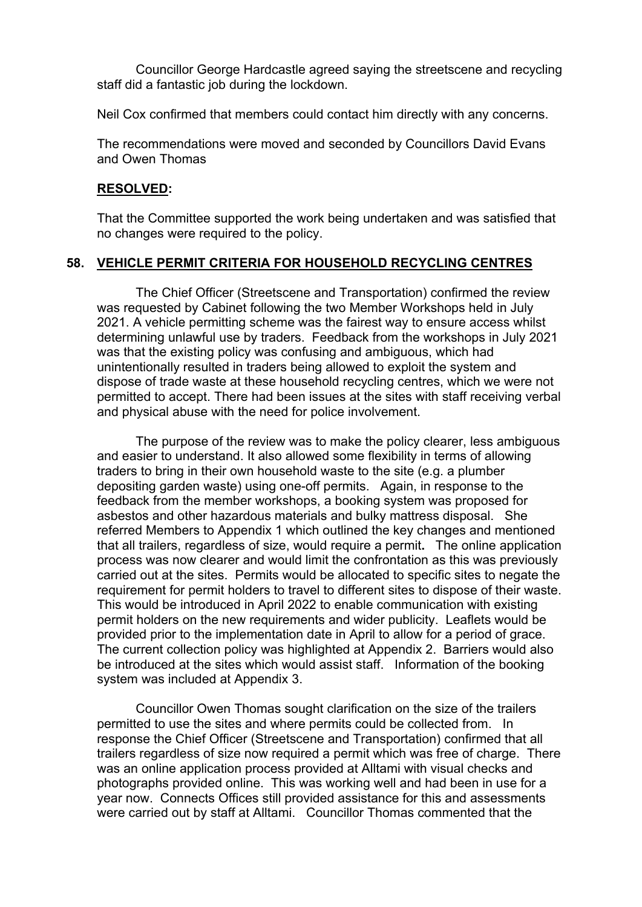Councillor George Hardcastle agreed saying the streetscene and recycling staff did a fantastic job during the lockdown.

Neil Cox confirmed that members could contact him directly with any concerns.

The recommendations were moved and seconded by Councillors David Evans and Owen Thomas

#### **RESOLVED:**

That the Committee supported the work being undertaken and was satisfied that no changes were required to the policy.

#### **58. VEHICLE PERMIT CRITERIA FOR HOUSEHOLD RECYCLING CENTRES**

The Chief Officer (Streetscene and Transportation) confirmed the review was requested by Cabinet following the two Member Workshops held in July 2021. A vehicle permitting scheme was the fairest way to ensure access whilst determining unlawful use by traders. Feedback from the workshops in July 2021 was that the existing policy was confusing and ambiguous, which had unintentionally resulted in traders being allowed to exploit the system and dispose of trade waste at these household recycling centres, which we were not permitted to accept. There had been issues at the sites with staff receiving verbal and physical abuse with the need for police involvement.

The purpose of the review was to make the policy clearer, less ambiguous and easier to understand. It also allowed some flexibility in terms of allowing traders to bring in their own household waste to the site (e.g. a plumber depositing garden waste) using one-off permits. Again, in response to the feedback from the member workshops, a booking system was proposed for asbestos and other hazardous materials and bulky mattress disposal. She referred Members to Appendix 1 which outlined the key changes and mentioned that all trailers, regardless of size, would require a permit**.** The online application process was now clearer and would limit the confrontation as this was previously carried out at the sites. Permits would be allocated to specific sites to negate the requirement for permit holders to travel to different sites to dispose of their waste. This would be introduced in April 2022 to enable communication with existing permit holders on the new requirements and wider publicity. Leaflets would be provided prior to the implementation date in April to allow for a period of grace. The current collection policy was highlighted at Appendix 2. Barriers would also be introduced at the sites which would assist staff. Information of the booking system was included at Appendix 3.

Councillor Owen Thomas sought clarification on the size of the trailers permitted to use the sites and where permits could be collected from. In response the Chief Officer (Streetscene and Transportation) confirmed that all trailers regardless of size now required a permit which was free of charge. There was an online application process provided at Alltami with visual checks and photographs provided online. This was working well and had been in use for a year now. Connects Offices still provided assistance for this and assessments were carried out by staff at Alltami. Councillor Thomas commented that the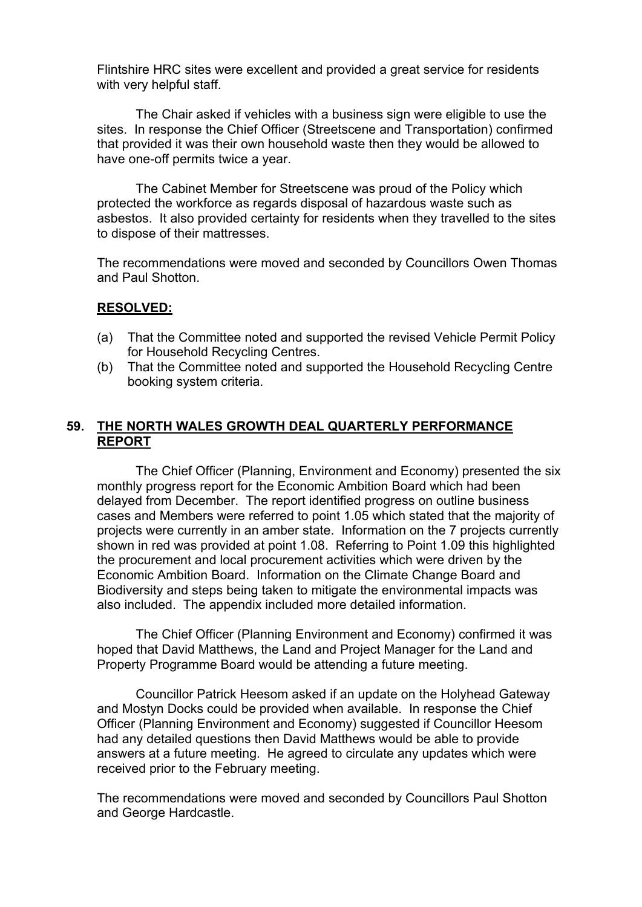Flintshire HRC sites were excellent and provided a great service for residents with very helpful staff.

The Chair asked if vehicles with a business sign were eligible to use the sites. In response the Chief Officer (Streetscene and Transportation) confirmed that provided it was their own household waste then they would be allowed to have one-off permits twice a year.

The Cabinet Member for Streetscene was proud of the Policy which protected the workforce as regards disposal of hazardous waste such as asbestos. It also provided certainty for residents when they travelled to the sites to dispose of their mattresses.

The recommendations were moved and seconded by Councillors Owen Thomas and Paul Shotton.

#### **RESOLVED:**

- (a) That the Committee noted and supported the revised Vehicle Permit Policy for Household Recycling Centres.
- (b) That the Committee noted and supported the Household Recycling Centre booking system criteria.

#### **59. THE NORTH WALES GROWTH DEAL QUARTERLY PERFORMANCE REPORT**

The Chief Officer (Planning, Environment and Economy) presented the six monthly progress report for the Economic Ambition Board which had been delayed from December. The report identified progress on outline business cases and Members were referred to point 1.05 which stated that the majority of projects were currently in an amber state. Information on the 7 projects currently shown in red was provided at point 1.08. Referring to Point 1.09 this highlighted the procurement and local procurement activities which were driven by the Economic Ambition Board. Information on the Climate Change Board and Biodiversity and steps being taken to mitigate the environmental impacts was also included. The appendix included more detailed information.

The Chief Officer (Planning Environment and Economy) confirmed it was hoped that David Matthews, the Land and Project Manager for the Land and Property Programme Board would be attending a future meeting.

Councillor Patrick Heesom asked if an update on the Holyhead Gateway and Mostyn Docks could be provided when available. In response the Chief Officer (Planning Environment and Economy) suggested if Councillor Heesom had any detailed questions then David Matthews would be able to provide answers at a future meeting. He agreed to circulate any updates which were received prior to the February meeting.

The recommendations were moved and seconded by Councillors Paul Shotton and George Hardcastle.